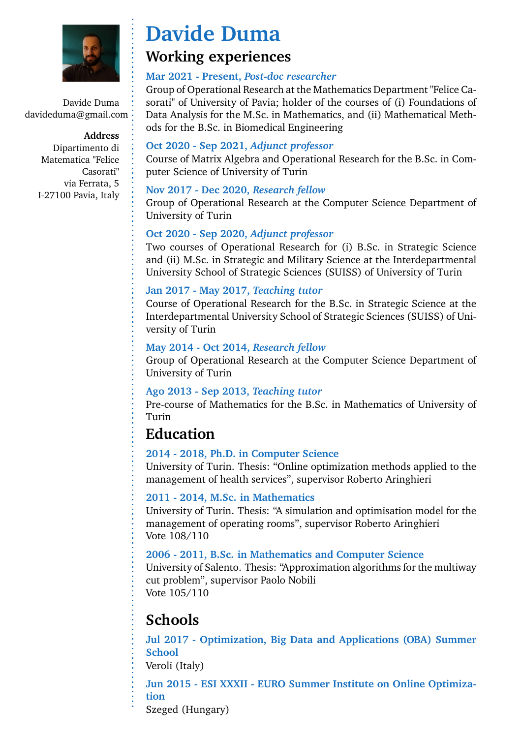

Davide Duma davideduma@gmail.com

> **Address** Dipartimento di Matematica "Felice Casorati" via Ferrata, 5 I-27100 Pavia, Italy

# **Davide Duma**

### **Working experiences**

#### **Mar 2021 - Present,** *Post-doc researcher*

Group of Operational Research at the Mathematics Department "Felice Casorati" of University of Pavia; holder of the courses of (i) Foundations of Data Analysis for the M.Sc. in Mathematics, and (ii) Mathematical Methods for the B.Sc. in Biomedical Engineering

#### **Oct 2020 - Sep 2021,** *Adjunct professor*

Course of Matrix Algebra and Operational Research for the B.Sc. in Computer Science of University of Turin

#### **Nov 2017 - Dec 2020,** *Research fellow*

Group of Operational Research at the Computer Science Department of University of Turin

#### **Oct 2020 - Sep 2020,** *Adjunct professor*

Two courses of Operational Research for (i) B.Sc. in Strategic Science and (ii) M.Sc. in Strategic and Military Science at the Interdepartmental University School of Strategic Sciences (SUISS) of University of Turin

#### **Jan 2017 - May 2017,** *Teaching tutor*

Course of Operational Research for the B.Sc. in Strategic Science at the Interdepartmental University School of Strategic Sciences (SUISS) of University of Turin

#### **May 2014 - Oct 2014,** *Research fellow*

Group of Operational Research at the Computer Science Department of University of Turin

#### **Ago 2013 - Sep 2013,** *Teaching tutor*

Pre-course of Mathematics for the B.Sc. in Mathematics of University of Turin

### **Education**

#### **2014 - 2018, Ph.D. in Computer Science**

University of Turin. Thesis: "Online optimization methods applied to the management of health services", supervisor Roberto Aringhieri

#### **2011 - 2014, M.Sc. in Mathematics**

University of Turin. Thesis: "A simulation and optimisation model for the management of operating rooms", supervisor Roberto Aringhieri Vote 108/110

#### **2006 - 2011, B.Sc. in Mathematics and Computer Science**

University of Salento. Thesis: "Approximation algorithms for the multiway cut problem", supervisor Paolo Nobili Vote 105/110

# **Schools**

**Jul 2017 - Optimization, Big Data and Applications (OBA) Summer School**

Veroli (Italy)

**Jun 2015 - ESI XXXII - EURO Summer Institute on Online Optimization**

Szeged (Hungary)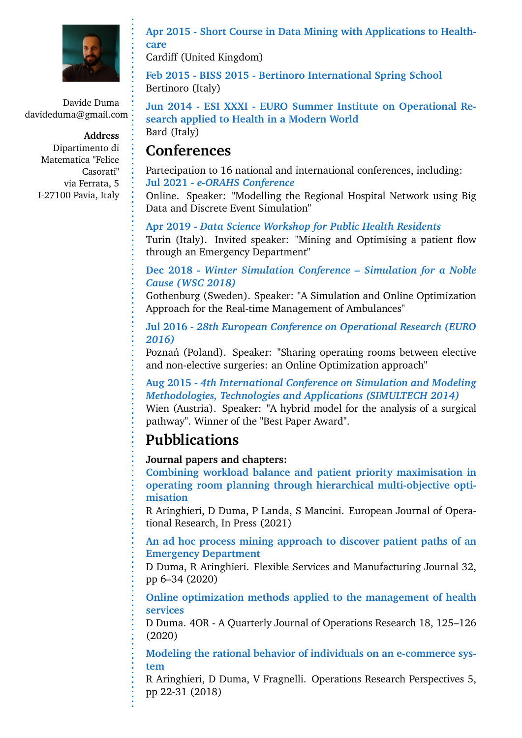

Davide Duma davideduma@gmail.com

> **Address** Dipartimento di Matematica "Felice Casorati" via Ferrata, 5 I-27100 Pavia, Italy

**Apr 2015 - Short Course in Data Mining with Applications to Healthcare**

Cardiff (United Kingdom)

**Feb 2015 - BISS 2015 - Bertinoro International Spring School** Bertinoro (Italy)

**Jun 2014 - ESI XXXI - EURO Summer Institute on Operational Research applied to Health in a Modern World** Bard (Italy)

### **Conferences**

Partecipation to 16 national and international conferences, including: **Jul 2021 -** *e-ORAHS Conference*

Online. Speaker: "Modelling the Regional Hospital Network using Big Data and Discrete Event Simulation"

**Apr 2019 -** *Data Science Workshop for Public Health Residents* Turin (Italy). Invited speaker: "Mining and Optimising a patient flow through an Emergency Department"

#### **Dec 2018 -** *Winter Simulation Conference – Simulation for a Noble Cause (WSC 2018)*

Gothenburg (Sweden). Speaker: "A Simulation and Online Optimization Approach for the Real-time Management of Ambulances"

**Jul 2016 -** *28th European Conference on Operational Research (EURO 2016)*

Poznań (Poland). Speaker: "Sharing operating rooms between elective and non-elective surgeries: an Online Optimization approach"

**Aug 2015 -** *4th International Conference on Simulation and Modeling Methodologies, Technologies and Applications (SIMULTECH 2014)* Wien (Austria). Speaker: "A hybrid model for the analysis of a surgical pathway". Winner of the "Best Paper Award".

# **Pubblications**

**Journal papers and chapters:**

**Combining workload balance and patient priority maximisation in operating room planning through hierarchical multi-objective optimisation**

R Aringhieri, D Duma, P Landa, S Mancini. European Journal of Operational Research, In Press (2021)

**An ad hoc process mining approach to discover patient paths of an Emergency Department**

D Duma, R Aringhieri. Flexible Services and Manufacturing Journal 32, pp 6–34 (2020)

**Online optimization methods applied to the management of health services**

D Duma. 4OR - A Quarterly Journal of Operations Research 18, 125–126 (2020)

**Modeling the rational behavior of individuals on an e-commerce system**

R Aringhieri, D Duma, V Fragnelli. Operations Research Perspectives 5, pp 22-31 (2018)